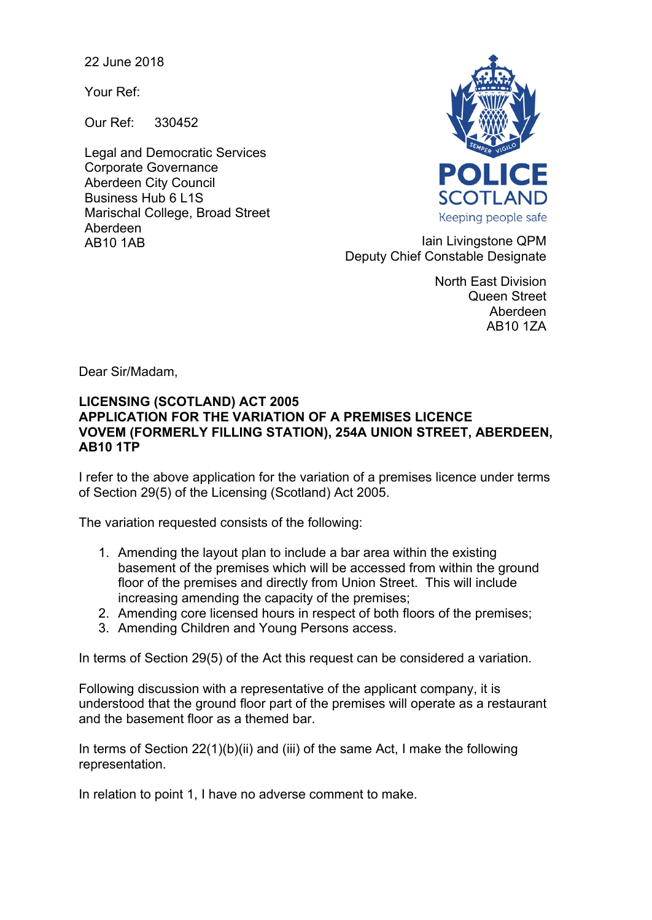22 June 2018

Your Ref:

Our Ref: 330452

Legal and Democratic Services Corporate Governance Aberdeen City Council Business Hub 6 L1S Marischal College, Broad Street Aberdeen



AB10 1AB Iain Livingstone QPM Deputy Chief Constable Designate

> North East Division Queen Street Aberdeen AB10 1ZA

Dear Sir/Madam,

## **LICENSING (SCOTLAND) ACT 2005 APPLICATION FOR THE VARIATION OF A PREMISES LICENCE VOVEM (FORMERLY FILLING STATION), 254A UNION STREET, ABERDEEN, AB10 1TP**

I refer to the above application for the variation of a premises licence under terms of Section 29(5) of the Licensing (Scotland) Act 2005.

The variation requested consists of the following:

- 1. Amending the layout plan to include a bar area within the existing basement of the premises which will be accessed from within the ground floor of the premises and directly from Union Street. This will include increasing amending the capacity of the premises;
- 2. Amending core licensed hours in respect of both floors of the premises;
- 3. Amending Children and Young Persons access.

In terms of Section 29(5) of the Act this request can be considered a variation.

Following discussion with a representative of the applicant company, it is understood that the ground floor part of the premises will operate as a restaurant and the basement floor as a themed bar.

In terms of Section 22(1)(b)(ii) and (iii) of the same Act, I make the following representation.

In relation to point 1, I have no adverse comment to make.